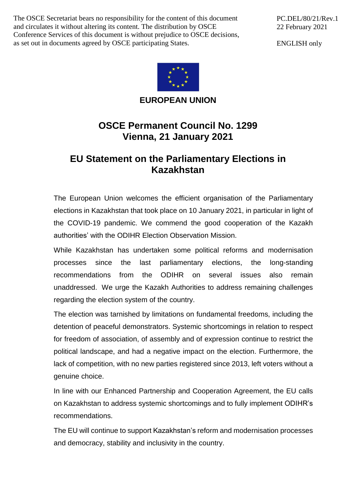The OSCE Secretariat bears no responsibility for the content of this document and circulates it without altering its content. The distribution by OSCE Conference Services of this document is without prejudice to OSCE decisions, as set out in documents agreed by OSCE participating States.

PC.DEL/80/21/Rev.1 22 February 2021

ENGLISH only



**EUROPEAN UNION**

## **OSCE Permanent Council No. 1299 Vienna, 21 January 2021**

## **EU Statement on the Parliamentary Elections in Kazakhstan**

The European Union welcomes the efficient organisation of the Parliamentary elections in Kazakhstan that took place on 10 January 2021, in particular in light of the COVID-19 pandemic. We commend the good cooperation of the Kazakh authorities' with the ODIHR Election Observation Mission.

While Kazakhstan has undertaken some political reforms and modernisation processes since the last parliamentary elections, the long-standing recommendations from the ODIHR on several issues also remain unaddressed. We urge the Kazakh Authorities to address remaining challenges regarding the election system of the country.

The election was tarnished by limitations on fundamental freedoms, including the detention of peaceful demonstrators. Systemic shortcomings in relation to respect for freedom of association, of assembly and of expression continue to restrict the political landscape, and had a negative impact on the election. Furthermore, the lack of competition, with no new parties registered since 2013, left voters without a genuine choice.

In line with our Enhanced Partnership and Cooperation Agreement, the EU calls on Kazakhstan to address systemic shortcomings and to fully implement ODIHR's recommendations.

The EU will continue to support Kazakhstan's reform and modernisation processes and democracy, stability and inclusivity in the country.